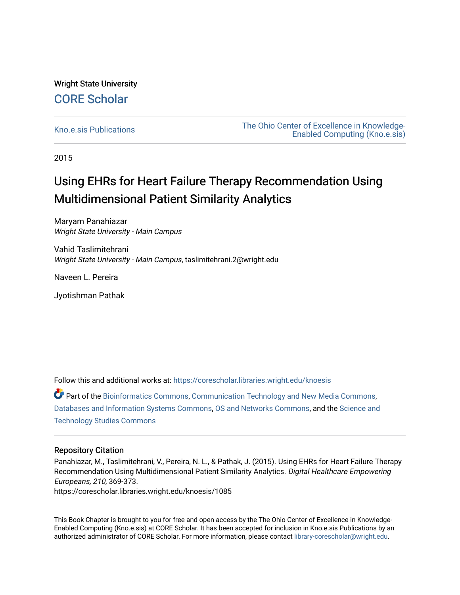## Wright State University [CORE Scholar](https://corescholar.libraries.wright.edu/)

[Kno.e.sis Publications](https://corescholar.libraries.wright.edu/knoesis) [The Ohio Center of Excellence in Knowledge-](https://corescholar.libraries.wright.edu/knoesis_comm)[Enabled Computing \(Kno.e.sis\)](https://corescholar.libraries.wright.edu/knoesis_comm) 

2015

# Using EHRs for Heart Failure Therapy Recommendation Using Multidimensional Patient Similarity Analytics

Maryam Panahiazar Wright State University - Main Campus

Vahid Taslimitehrani Wright State University - Main Campus, taslimitehrani.2@wright.edu

Naveen L. Pereira

Jyotishman Pathak

Follow this and additional works at: [https://corescholar.libraries.wright.edu/knoesis](https://corescholar.libraries.wright.edu/knoesis?utm_source=corescholar.libraries.wright.edu%2Fknoesis%2F1085&utm_medium=PDF&utm_campaign=PDFCoverPages) 

Part of the [Bioinformatics Commons,](http://network.bepress.com/hgg/discipline/110?utm_source=corescholar.libraries.wright.edu%2Fknoesis%2F1085&utm_medium=PDF&utm_campaign=PDFCoverPages) [Communication Technology and New Media Commons,](http://network.bepress.com/hgg/discipline/327?utm_source=corescholar.libraries.wright.edu%2Fknoesis%2F1085&utm_medium=PDF&utm_campaign=PDFCoverPages) [Databases and Information Systems Commons](http://network.bepress.com/hgg/discipline/145?utm_source=corescholar.libraries.wright.edu%2Fknoesis%2F1085&utm_medium=PDF&utm_campaign=PDFCoverPages), [OS and Networks Commons](http://network.bepress.com/hgg/discipline/149?utm_source=corescholar.libraries.wright.edu%2Fknoesis%2F1085&utm_medium=PDF&utm_campaign=PDFCoverPages), and the [Science and](http://network.bepress.com/hgg/discipline/435?utm_source=corescholar.libraries.wright.edu%2Fknoesis%2F1085&utm_medium=PDF&utm_campaign=PDFCoverPages) [Technology Studies Commons](http://network.bepress.com/hgg/discipline/435?utm_source=corescholar.libraries.wright.edu%2Fknoesis%2F1085&utm_medium=PDF&utm_campaign=PDFCoverPages) 

### Repository Citation

Panahiazar, M., Taslimitehrani, V., Pereira, N. L., & Pathak, J. (2015). Using EHRs for Heart Failure Therapy Recommendation Using Multidimensional Patient Similarity Analytics. Digital Healthcare Empowering Europeans, 210, 369-373. https://corescholar.libraries.wright.edu/knoesis/1085

This Book Chapter is brought to you for free and open access by the The Ohio Center of Excellence in Knowledge-Enabled Computing (Kno.e.sis) at CORE Scholar. It has been accepted for inclusion in Kno.e.sis Publications by an authorized administrator of CORE Scholar. For more information, please contact [library-corescholar@wright.edu](mailto:library-corescholar@wright.edu).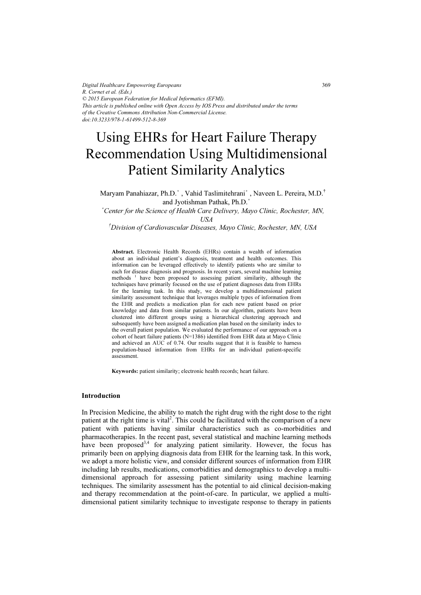*Digital Healthcare Empowering Europeans R. Cornet et al. (Eds.) © 2015 European Federation for Medical Informatics (EFMI). This article is published online with Open Access by IOS Press and distributed under the terms of the Creative Commons Attribution Non-Commercial License. doi:10.3233/978-1-61499-512-8-369*

# Using EHRs for Heart Failure Therapy Recommendation Using Multidimensional Patient Similarity Analytics

Maryam Panahiazar, Ph.D.<sup>\*</sup>, Vahid Taslimitehrani<sup>\*</sup>, Naveen L. Pereira, M.D.<sup>†</sup> wanyani i anamazai, 1 n. D. yeang Tashimichian  $^{\circ}$ , and Jyotishman Pathak, Ph.D.<sup>\*</sup>

 Center for the Science of Health Care Delivery, Mayo Clinic, Rochester, MN, USA

† Division of Cardiovascular Diseases, Mayo Clinic, Rochester, MN, USA

Abstract. Electronic Health Records (EHRs) contain a wealth of information about an individual patient's diagnosis, treatment and health outcomes. This information can be leveraged effectively to identify patients who are similar to each for disease diagnosis and prognosis. In recent years, several machine learning methods<sup>1</sup> have been proposed to assessing patient similarity, although the techniques have primarily focused on the use of patient diagnoses data from EHRs for the learning task. In this study, we develop a multidimensional patient similarity assessment technique that leverages multiple types of information from the EHR and predicts a medication plan for each new patient based on prior knowledge and data from similar patients. In our algorithm, patients have been clustered into different groups using a hierarchical clustering approach and subsequently have been assigned a medication plan based on the similarity index to the overall patient population. We evaluated the performance of our approach on a cohort of heart failure patients  $(N=1386)$  identified from EHR data at Mayo Clinic and achieved an AUC of 0.74. Our results suggest that it is feasible to harness population-based information from EHRs for an individual patient-specific assessment.

Keywords: patient similarity; electronic health records; heart failure.

#### Introduction

In Precision Medicine, the ability to match the right drug with the right dose to the right patient at the right time is vital<sup>2</sup>. This could be facilitated with the comparison of a new patient with patients having similar characteristics such as co-morbidities and pharmacotherapies. In the recent past, several statistical and machine learning methods have been proposed<sup>3,4</sup> for analyzing patient similarity. However, the focus has primarily been on applying diagnosis data from EHR for the learning task. In this work, we adopt a more holistic view, and consider different sources of information from EHR including lab results, medications, comorbidities and demographics to develop a multidimensional approach for assessing patient similarity using machine learning techniques. The similarity assessment has the potential to aid clinical decision-making and therapy recommendation at the point-of-care. In particular, we applied a multidimensional patient similarity technique to investigate response to therapy in patients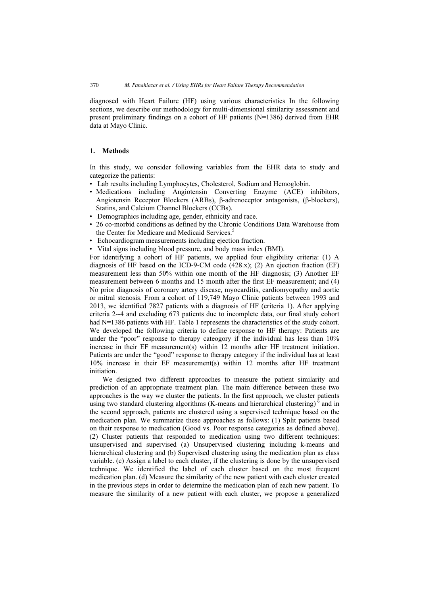diagnosed with Heart Failure (HF) using various characteristics In the following sections, we describe our methodology for multi-dimensional similarity assessment and present preliminary findings on a cohort of HF patients (N=1386) derived from EHR data at Mayo Clinic.

### 1. Methods

In this study, we consider following variables from the EHR data to study and categorize the patients:

- Lab results including Lymphocytes, Cholesterol, Sodium and Hemoglobin.
- Medications including Angiotensin Converting Enzyme (ACE) inhibitors, Angiotensin Receptor Blockers (ARBs), β-adrenoceptor antagonists, (β-blockers), Statins, and Calcium Channel Blockers (CCBs).
- Demographics including age, gender, ethnicity and race.
- 26 co-morbid conditions as defined by the Chronic Conditions Data Warehouse from the Center for Medicare and Medicaid Services.<sup>5</sup>
- Echocardiogram measurements including ejection fraction.
- Vital signs including blood pressure, and body mass index (BMI).

For identifying a cohort of HF patients, we applied four eligibility criteria: (1) A diagnosis of HF based on the ICD-9-CM code (428.x); (2) An ejection fraction (EF) measurement less than 50% within one month of the HF diagnosis; (3) Another EF measurement between 6 months and 15 month after the first EF measurement; and (4) No prior diagnosis of coronary artery disease, myocarditis, cardiomyopathy and aortic or mitral stenosis. From a cohort of 119,749 Mayo Clinic patients between 1993 and 2013, we identified 7827 patients with a diagnosis of HF (criteria 1). After applying criteria 2--4 and excluding 673 patients due to incomplete data, our final study cohort had N=1386 patients with HF. Table 1 represents the characteristics of the study cohort. We developed the following criteria to define response to HF therapy: Patients are under the "poor" response to therapy cateogory if the individual has less than  $10\%$ increase in their EF measurement(s) within 12 months after HF treatment initiation. Patients are under the "good" response to therapy category if the individual has at least 10% increase in their EF measurement(s) within 12 months after HF treatment initiation.

We designed two different approaches to measure the patient similarity and prediction of an appropriate treatment plan. The main difference between these two approaches is the way we cluster the patients. In the first approach, we cluster patients using two standard clustering algorithms  $(K$ -means and hierarchical clustering) $<sup>6</sup>$  and in</sup> the second approach, patients are clustered using a supervised technique based on the medication plan. We summarize these approaches as follows: (1) Split patients based on their response to medication (Good vs. Poor response categories as defined above). (2) Cluster patients that responded to medication using two different techniques: unsupervised and supervised (a) Unsupervised clustering including k-means and hierarchical clustering and (b) Supervised clustering using the medication plan as class variable. (c) Assign a label to each cluster, if the clustering is done by the unsupervised technique. We identified the label of each cluster based on the most frequent medication plan. (d) Measure the similarity of the new patient with each cluster created in the previous steps in order to determine the medication plan of each new patient. To measure the similarity of a new patient with each cluster, we propose a generalized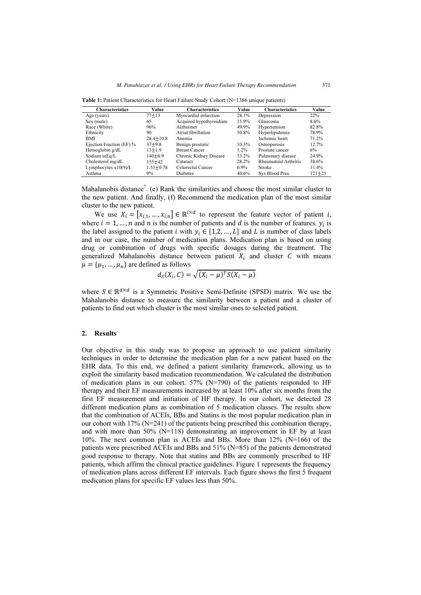| <b>Characteristics</b>   | Value         | <b>Characteristics</b>  | Value   | <b>Characteristics</b> | Value      |
|--------------------------|---------------|-------------------------|---------|------------------------|------------|
| Age (years)              | $77 + 13$     | Myocardial infarction   | 28.1%   | Depression             | 22%        |
| Sex (male)               | 65            | Acquired hypothyroidism | 15.9%   | Glaucoma               | $8.6\%$    |
| Race (White)             | 96%           | Alzheimer               | 49.9%   | Hypertension           | 82.8%      |
| Ethnicity                | 90            | Atrial fibrillation     | 50.8%   | Hyperlipidemia         | 78.9%      |
| <b>BMI</b>               | $28.4 + 10.8$ | Anemia                  |         | Ischemic heart         | 71.2%      |
| Ejection Fraction (EF) % | $37 + 9.8$    | Benign prostatic        | 10.3%   | Osteoporosis           | 12.7%      |
| Hemoglobin g/dL          | $13 + 1.9$    | <b>Breast Cancer</b>    | $1.2\%$ | Prostate cancer        | 6%         |
| Sodium mEq/L             | $140 + 6.9$   | Chronic Kidney Disease  | 53.2%   | Pulmonary disease      | 24.9%      |
| Cholesterol mg/dL        | 155+42        | Cataract                | 28.2%   | Rheumatoid Arthritis   | 38.6%      |
| Lymphocytes $x10(9)/L$   | $1.53 + 0.78$ | Colorectal Cancer       | $0.9\%$ | Stroke                 | 11.4%      |
| Asthma                   | 9%            | Diabetes                | 40.6%   | Sys Blood Pres.        | $121 + 23$ |

Table 1: Patient Characteristics for Heart Failure Study Cohort (N=1386 unique patients)

Mahalanobis distance<sup>7</sup>. (e) Rank the similarities and choose the most similar cluster to the new patient. And finally, (f) Recommend the medication plan of the most similar cluster to the new patient.

We use  $X_i = [x_{i,1},...,x_{i,n}] \in \mathbb{R}^{i \times d}$  to represent the feature vector of patient i, where  $i = 1, ..., n$  and n is the number of patients and d is the number of features.  $y_i$  is the label assigned to the patient *i* with  $y_i \in \{1,2,...,L\}$  and *L* is number of class labels and in our case, the number of medication plans. Medication plan is based on using drug or combination of drugs with specific dosages during the treatment. The generalized Mahalanobis distance between patient  $X_i$  and cluster C with means  $\mu = {\mu_1, ..., \mu_n}$  are defined as follows

$$
d_S(X_i, C) = \sqrt{(X_i - \mu)^T S(X_i - \mu)}
$$

where  $S \in \mathbb{R}^{d \times d}$  is a Symmetric Positive Semi-Definite (SPSD) matrix. We use the Mahalanobis distance to measure the similarity between a patient and a cluster of patients to find out which cluster is the most similar ones to selected patient.

#### 2. Results

Our objective in this study was to propose an approach to use patient similarity techniques in order to determine the medication plan for a new patient based on the EHR data. To this end, we defined a patient similarity framework, allowing us to exploit the similarity based medication recommendation. We calculated the distribution of medication plans in our cohort. 57% (N=790) of the patients responded to HF therapy and their EF measurements increased by at least 10% after six months from the first EF measurement and initiation of HF therapy. In our cohort, we detected 28 different medication plans as combination of 5 medication classes. The results show that the combination of ACEIs, BBs and Statins is the most popular medication plan in our cohort with  $17\%$  (N=241) of the patients being prescribed this combination therapy, and with more than  $50\%$  (N=118) demonstrating an improvement in EF by at least 10%. The next common plan is ACEIs and BBs. More than 12% (N=166) of the patients were prescribed ACEIs and BBs and 51% (N=85) of the patients demonstrated good response to therapy. Note that statins and BBs are commonly prescribed to HF patients, which affirm the clinical practice guidelines. Figure 1 represents the frequency of medication plans across different EF intervals. Each figure shows the first 5 frequent medication plans for specific EF values less than 50%.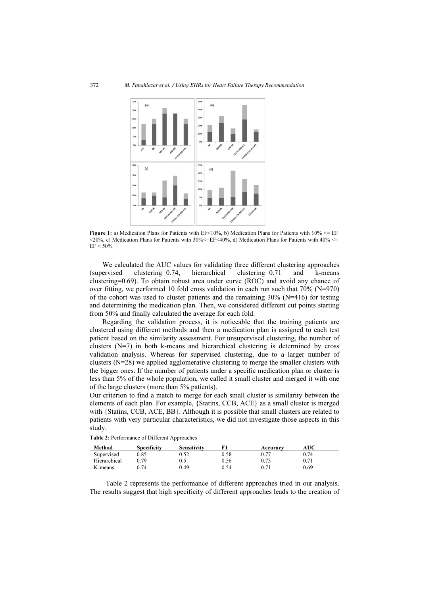

Figure 1: a) Medication Plans for Patients with  $EF < 10\%$ , b) Medication Plans for Patients with  $10\% \leq EF$  $\langle 20\% \rangle$ , c) Medication Plans for Patients with 30%  $\langle =EF \langle 40\% \rangle$ , d) Medication Plans for Patients with 40%  $\langle =$  $EF < 50%$ 

We calculated the AUC values for validating three different clustering approaches ervised clustering=0.74, hierarchical clustering=0.71 and k-means (supervised clustering=0.74, hierarchical clustering=0.71 and k-means clustering=0.69). To obtain robust area under curve (ROC) and avoid any chance of over fitting, we performed 10 fold cross validation in each run such that 70% (N=970) of the cohort was used to cluster patients and the remaining  $30\%$  (N=416) for testing and determining the medication plan. Then, we considered different cut points starting from 50% and finally calculated the average for each fold.

Regarding the validation process, it is noticeable that the training patients are clustered using different methods and then a medication plan is assigned to each test patient based on the similarity assessment. For unsupervised clustering, the number of clusters  $(N=7)$  in both k-means and hierarchical clustering is determined by cross validation analysis. Whereas for supervised clustering, due to a larger number of clusters  $(N=28)$  we applied agglomerative clustering to merge the smaller clusters with the bigger ones. If the number of patients under a specific medication plan or cluster is less than 5% of the whole population, we called it small cluster and merged it with one of the large clusters (more than 5% patients).

Our criterion to find a match to merge for each small cluster is similarity between the elements of each plan. For example, {Statins, CCB, ACE} as a small cluster is merged with {Statins, CCB, ACE, BB}. Although it is possible that small clusters are related to patients with very particular characteristics, we did not investigate those aspects in this study.

| Method       | <b>Specificity</b> | <b>Sensitivity</b> |      | Accuracy | AUC  |
|--------------|--------------------|--------------------|------|----------|------|
| Supervised   | 0.85               | 0.52               | 0.58 | 0.77     | 0.74 |
| Hierarchical | 0.79               | 0.5                | 0.56 | 0.73     | 0.71 |
| K-means      | . 74               | 0.49               | 0.54 |          | 0.69 |

Table 2: Performance of Different Approaches

Table 2 represents the performance of different approaches tried in our analysis. The results suggest that high specificity of different approaches leads to the creation of